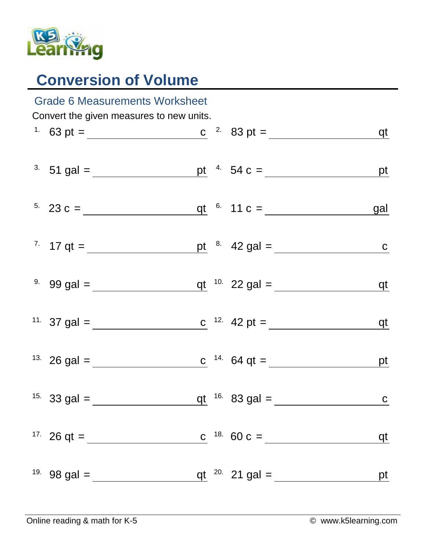

## **Conversion of Volume**

| <b>Grade 6 Measurements Worksheet</b>    |                                                                                  |  |  |                  |                |  |  |  |  |
|------------------------------------------|----------------------------------------------------------------------------------|--|--|------------------|----------------|--|--|--|--|
| Convert the given measures to new units. |                                                                                  |  |  |                  |                |  |  |  |  |
|                                          | <sup>1</sup> 63 pt = <u>c</u> <sup>2</sup> 83 pt = <u>c</u> <sup>2</sup> 83 pt = |  |  |                  | <u>qt</u>      |  |  |  |  |
|                                          | <sup>3</sup> 51 gal = <u>pt</u> <sup>4</sup> 54 c = <u>pt</u>                    |  |  |                  |                |  |  |  |  |
|                                          | <sup>5.</sup> 23 c = $q t$ <sup>6.</sup> 11 c =                                  |  |  |                  | <u>gal</u>     |  |  |  |  |
|                                          |                                                                                  |  |  |                  |                |  |  |  |  |
|                                          | <sup>9.</sup> 99 gal = $q t^{10}$ 22 gal =                                       |  |  |                  | <u>qt</u>      |  |  |  |  |
|                                          | <sup>11.</sup> 37 gal = <u>c</u> <sup>12.</sup> 42 pt =                          |  |  |                  | <u>qt</u>      |  |  |  |  |
|                                          |                                                                                  |  |  |                  | $p$ t          |  |  |  |  |
|                                          | <sup>15.</sup> 33 gal =                                                          |  |  | qt $16.83$ gal = | $\overline{c}$ |  |  |  |  |
|                                          | <sup>17.</sup> 26 qt = $\frac{ }{ }$                                             |  |  |                  | qt             |  |  |  |  |
|                                          | <sup>19.</sup> 98 gal = $\frac{ }{ }$                                            |  |  |                  | pt             |  |  |  |  |